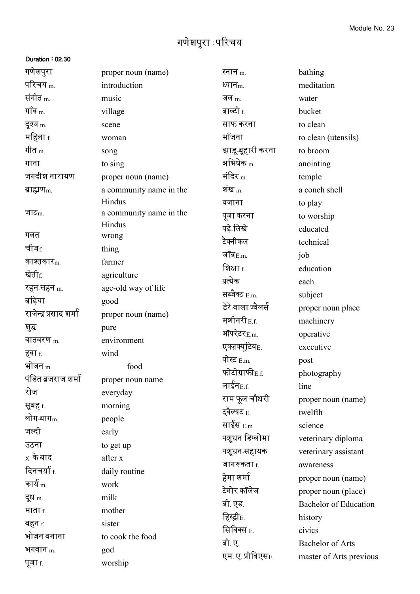## गणेशपुरा : पररचय

## Duration : 02.30

| गणेशपुरा               | proper noun (name)      | स्नान $_{\rm m.}$          | bathing                      |
|------------------------|-------------------------|----------------------------|------------------------------|
| परिचय <sub>m.</sub>    | introduction            | ध्यान <sub>m.</sub>        | meditation                   |
| संगीत <sub>m.</sub>    | music                   | जल $_{\rm m}$              | water                        |
| गॉव $_{\rm m}$         | village                 | बाल्टी $_{\rm f.}$         | bucket                       |
| दृश्य <sub>m.</sub>    | scene                   | साफ करना                   | to clean                     |
| महिला <u>f</u>         | woman                   | मॉंजना                     | to clean (utensils)          |
| गीत <sub>m.</sub>      | song                    | झाडू बुहारी करना           | to broom                     |
| गाना                   | to sing                 | अभिषेक $_{\rm m.}$         | anointing                    |
| जगदीश नारायण           | proper noun (name)      | मंदिर $_{\rm m}$           | temple                       |
| ब्राह्मण <sub>m.</sub> | a community name in the | शंख $_{\rm m}$             | a conch shell                |
|                        | Hindus                  | बजाना                      | to play                      |
| जाट $m$                | a community name in the | पूजा करना                  | to worship                   |
|                        | Hindus                  | पढ़े लिखे                  | educated                     |
| गलत                    | wrong                   | टैक्नीकल                   | technical                    |
| चीज <sub>f.</sub>      | thing                   | जॉब $_{E.m.}$              | job                          |
| काश्तकार $_{\rm m}$    | farmer                  | शिक्षा <u>f</u>            | education                    |
| खेती <sub>f.</sub>     | agriculture             | प्रत्येक                   | each                         |
| रहन-सहन <sub>m.</sub>  | age-old way of life     | सब्जैक्ट E.m.              | subject                      |
| बढ़िया                 | good                    | डेरे वाला ज्वैलर्स         | proper noun place            |
| राजेन्द्र प्रसाद शर्मा | proper noun (name)      | मशीनरी $_{\rm E.f.}$       | machinery                    |
| शुद्ध                  | pure                    | ऑपरेटर $_{\text{E.m.}}$    | operative                    |
| वातवरण $_{\rm m}$      | environment             | एक्ज़क्यूटिव <sub>E.</sub> | executive                    |
| हवा f.                 | wind                    | पोस्ट $_{E.m.}$            | post                         |
| भोजन $_{\rm m}$        | food                    | फोटोग्राफी <sub>E.f.</sub> | photography                  |
| पंडित ब्रजराज शर्मा    | proper noun name        | लाईन $_{\rm E.f.}$         | line                         |
| रोज                    | everyday                | राम फूल चौधरी              | proper noun (name)           |
| सुबह <sub>f.</sub>     | morning                 | ट्वैल्थट <sub>E.</sub>     | twelfth                      |
| लोग-बाग <sub>m.</sub>  | people                  | साईस $_{\rm E.m}$          | science                      |
| जल्दी                  | early                   | पशुधन डिप्लोमा             | veterinary diploma           |
| उठना                   | to get up               | पशुधन सहायक                | veterinary assistant         |
| $\times$ के बाद        | after x                 | जागरूकता $f$               | awareness                    |
| दिनचर्या <sub>f.</sub> | daily routine           | हेमा शर्मा                 | proper noun (name)           |
| कार्य $_{\rm m}$       | work                    | टेगोर कॉलेज                | proper noun (place)          |
| दूध <sub>m.</sub>      | milk                    | बी.एड.                     | <b>Bachelor</b> of Education |
| माता $f$ .             | mother                  | हिस्ट्री <sub>E.</sub>     | history                      |
| बहन <sub>f.</sub>      | sister                  | सिविक्स <sub>E.</sub>      | civics                       |
| भोजन बनाना             | to cook the food        | बी. ए.                     | Bachelor of Arts             |
| भगवान $m$              | god                     | एम ए प्रीविएस $_{\rm E.}$  |                              |
| पूजा <sub>f.</sub>     | worship                 |                            | master of Arts previous      |